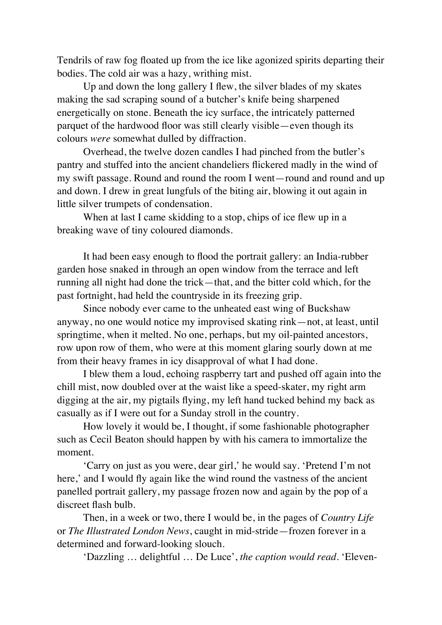Tendrils of raw fog floated up from the ice like agonized spirits departing their bodies. The cold air was a hazy, writhing mist.

Up and down the long gallery I flew, the silver blades of my skates making the sad scraping sound of a butcher's knife being sharpened energetically on stone. Beneath the icy surface, the intricately patterned parquet of the hardwood floor was still clearly visible—even though its colours *were* somewhat dulled by diffraction.

Overhead, the twelve dozen candles I had pinched from the butler's pantry and stuffed into the ancient chandeliers flickered madly in the wind of my swift passage. Round and round the room I went—round and round and up and down. I drew in great lungfuls of the biting air, blowing it out again in little silver trumpets of condensation.

When at last I came skidding to a stop, chips of ice flew up in a breaking wave of tiny coloured diamonds.

It had been easy enough to flood the portrait gallery: an India-rubber garden hose snaked in through an open window from the terrace and left running all night had done the trick—that, and the bitter cold which, for the past fortnight, had held the countryside in its freezing grip.

Since nobody ever came to the unheated east wing of Buckshaw anyway, no one would notice my improvised skating rink—not, at least, until springtime, when it melted. No one, perhaps, but my oil-painted ancestors, row upon row of them, who were at this moment glaring sourly down at me from their heavy frames in icy disapproval of what I had done.

I blew them a loud, echoing raspberry tart and pushed off again into the chill mist, now doubled over at the waist like a speed-skater, my right arm digging at the air, my pigtails flying, my left hand tucked behind my back as casually as if I were out for a Sunday stroll in the country.

How lovely it would be, I thought, if some fashionable photographer such as Cecil Beaton should happen by with his camera to immortalize the moment.

'Carry on just as you were, dear girl,' he would say. 'Pretend I'm not here,' and I would fly again like the wind round the vastness of the ancient panelled portrait gallery, my passage frozen now and again by the pop of a discreet flash bulb.

Then, in a week or two, there I would be, in the pages of *Country Life* or *The Illustrated London News*, caught in mid-stride—frozen forever in a determined and forward-looking slouch.

'Dazzling … delightful … De Luce', *the caption would read.* 'Eleven-